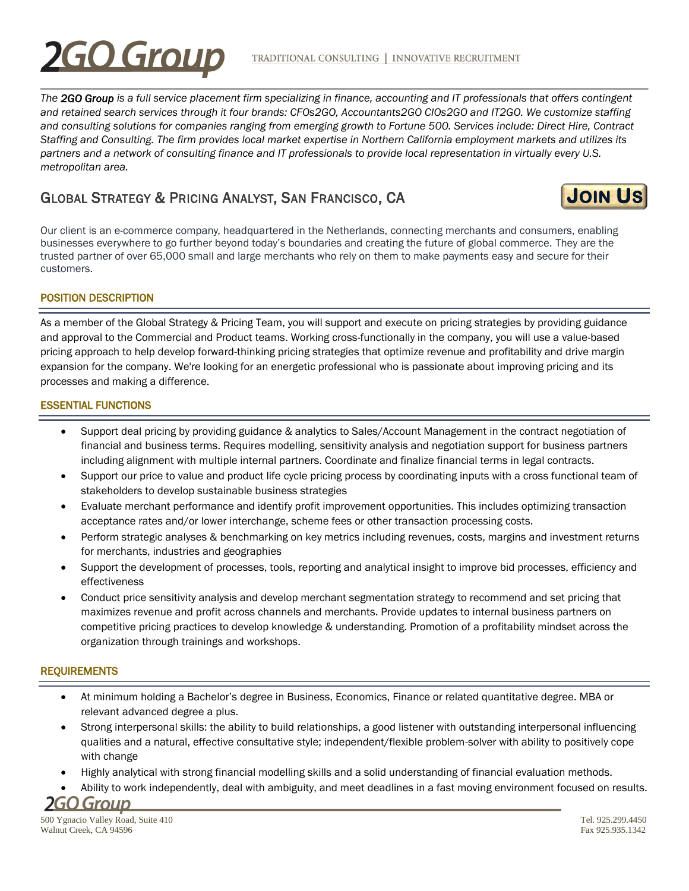# **FO Group**

*The 2GO Group is a full service placement firm specializing in finance, accounting and IT professionals that offers contingent and retained search services through it four brands: CFOs2GO, Accountants2GO CIOs2GO and IT2GO. We customize staffing and consulting solutions for companies ranging from emerging growth to Fortune 500. Services include: Direct Hire, Contract Staffing and Consulting. The firm provides local market expertise in Northern California employment markets and utilizes its partners and a network of consulting finance and IT professionals to provide local representation in virtually every U.S. metropolitan area.*

## GLOBAL STRATEGY & PRICING ANALYST, SAN FRANCISCO, CA **J[OIN](http://www.2gocompanies.com/cfos2go/cfos2go-careers/job-seekers/) US**



Our client is an e-commerce company, headquartered in the Netherlands, connecting merchants and consumers, enabling businesses everywhere to go further beyond today's boundaries and creating the future of global commerce. They are the trusted partner of over 65,000 small and large merchants who rely on them to make payments easy and secure for their customers.

### POSITION DESCRIPTION

As a member of the Global Strategy & Pricing Team, you will support and execute on pricing strategies by providing guidance and approval to the Commercial and Product teams. Working cross-functionally in the company, you will use a value-based pricing approach to help develop forward-thinking pricing strategies that optimize revenue and profitability and drive margin expansion for the company. We're looking for an energetic professional who is passionate about improving pricing and its processes and making a difference.

#### ESSENTIAL FUNCTIONS

- Support deal pricing by providing guidance & analytics to Sales/Account Management in the contract negotiation of financial and business terms. Requires modelling, sensitivity analysis and negotiation support for business partners including alignment with multiple internal partners. Coordinate and finalize financial terms in legal contracts.
- Support our price to value and product life cycle pricing process by coordinating inputs with a cross functional team of stakeholders to develop sustainable business strategies
- Evaluate merchant performance and identify profit improvement opportunities. This includes optimizing transaction acceptance rates and/or lower interchange, scheme fees or other transaction processing costs.
- Perform strategic analyses & benchmarking on key metrics including revenues, costs, margins and investment returns for merchants, industries and geographies
- Support the development of processes, tools, reporting and analytical insight to improve bid processes, efficiency and effectiveness
- Conduct price sensitivity analysis and develop merchant segmentation strategy to recommend and set pricing that maximizes revenue and profit across channels and merchants. Provide updates to internal business partners on competitive pricing practices to develop knowledge & understanding. Promotion of a profitability mindset across the organization through trainings and workshops.

#### **REQUIREMENTS**

- At minimum holding a Bachelor's degree in Business, Economics, Finance or related quantitative degree. MBA or relevant advanced degree a plus.
- Strong interpersonal skills: the ability to build relationships, a good listener with outstanding interpersonal influencing qualities and a natural, effective consultative style; independent/flexible problem-solver with ability to positively cope with change
- Highly analytical with strong financial modelling skills and a solid understanding of financial evaluation methods.
- Ability to work independently, deal with ambiguity, and meet deadlines in a fast moving environment focused on results.

**2GO Group**